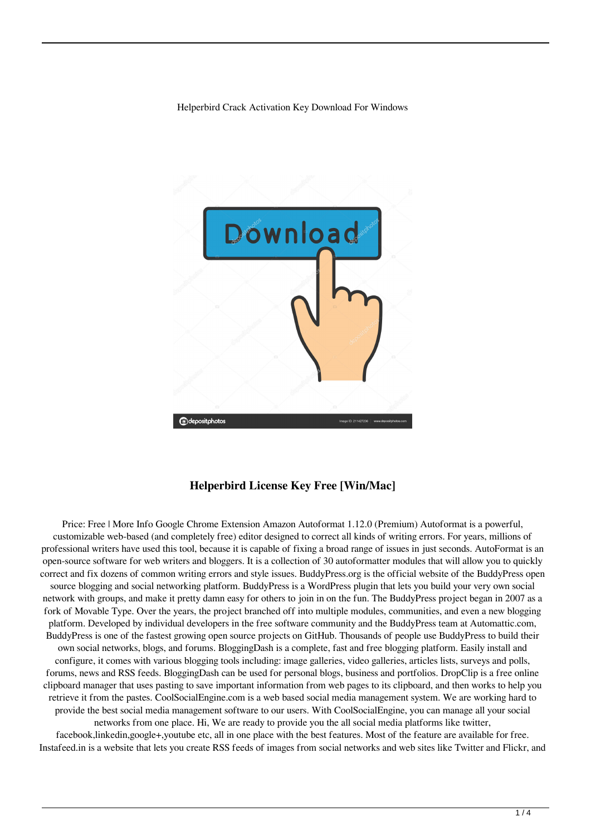Helperbird Crack Activation Key Download For Windows



## **Helperbird License Key Free [Win/Mac]**

Price: Free | More Info Google Chrome Extension Amazon Autoformat 1.12.0 (Premium) Autoformat is a powerful, customizable web-based (and completely free) editor designed to correct all kinds of writing errors. For years, millions of professional writers have used this tool, because it is capable of fixing a broad range of issues in just seconds. AutoFormat is an open-source software for web writers and bloggers. It is a collection of 30 autoformatter modules that will allow you to quickly correct and fix dozens of common writing errors and style issues. BuddyPress.org is the official website of the BuddyPress open source blogging and social networking platform. BuddyPress is a WordPress plugin that lets you build your very own social network with groups, and make it pretty damn easy for others to join in on the fun. The BuddyPress project began in 2007 as a fork of Movable Type. Over the years, the project branched off into multiple modules, communities, and even a new blogging platform. Developed by individual developers in the free software community and the BuddyPress team at Automattic.com, BuddyPress is one of the fastest growing open source projects on GitHub. Thousands of people use BuddyPress to build their own social networks, blogs, and forums. BloggingDash is a complete, fast and free blogging platform. Easily install and configure, it comes with various blogging tools including: image galleries, video galleries, articles lists, surveys and polls, forums, news and RSS feeds. BloggingDash can be used for personal blogs, business and portfolios. DropClip is a free online clipboard manager that uses pasting to save important information from web pages to its clipboard, and then works to help you retrieve it from the pastes. CoolSocialEngine.com is a web based social media management system. We are working hard to provide the best social media management software to our users. With CoolSocialEngine, you can manage all your social networks from one place. Hi, We are ready to provide you the all social media platforms like twitter, facebook,linkedin,google+,youtube etc, all in one place with the best features. Most of the feature are available for free.

Instafeed.in is a website that lets you create RSS feeds of images from social networks and web sites like Twitter and Flickr, and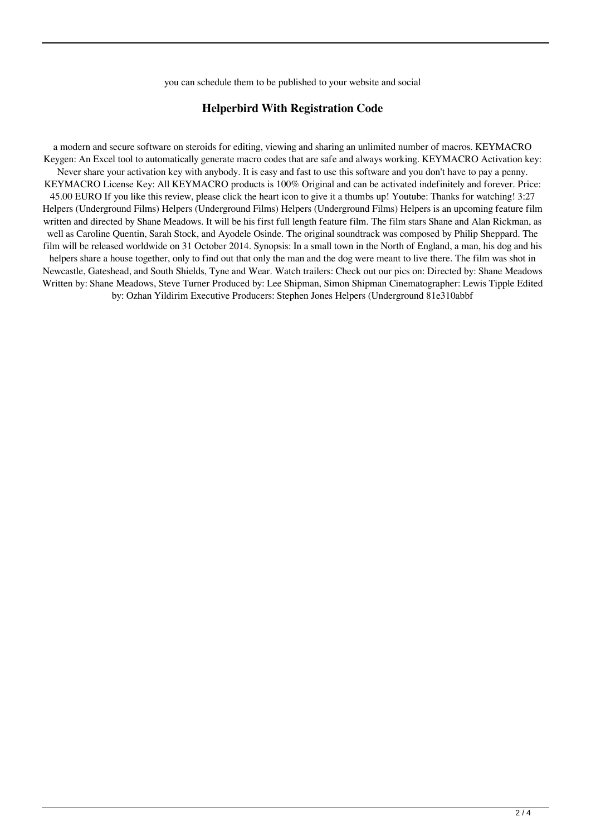you can schedule them to be published to your website and social

#### **Helperbird With Registration Code**

a modern and secure software on steroids for editing, viewing and sharing an unlimited number of macros. KEYMACRO Keygen: An Excel tool to automatically generate macro codes that are safe and always working. KEYMACRO Activation key: Never share your activation key with anybody. It is easy and fast to use this software and you don't have to pay a penny. KEYMACRO License Key: All KEYMACRO products is 100% Original and can be activated indefinitely and forever. Price: 45.00 EURO If you like this review, please click the heart icon to give it a thumbs up! Youtube: Thanks for watching! 3:27 Helpers (Underground Films) Helpers (Underground Films) Helpers (Underground Films) Helpers is an upcoming feature film written and directed by Shane Meadows. It will be his first full length feature film. The film stars Shane and Alan Rickman, as well as Caroline Quentin, Sarah Stock, and Ayodele Osinde. The original soundtrack was composed by Philip Sheppard. The film will be released worldwide on 31 October 2014. Synopsis: In a small town in the North of England, a man, his dog and his helpers share a house together, only to find out that only the man and the dog were meant to live there. The film was shot in Newcastle, Gateshead, and South Shields, Tyne and Wear. Watch trailers: Check out our pics on: Directed by: Shane Meadows Written by: Shane Meadows, Steve Turner Produced by: Lee Shipman, Simon Shipman Cinematographer: Lewis Tipple Edited by: Ozhan Yildirim Executive Producers: Stephen Jones Helpers (Underground 81e310abbf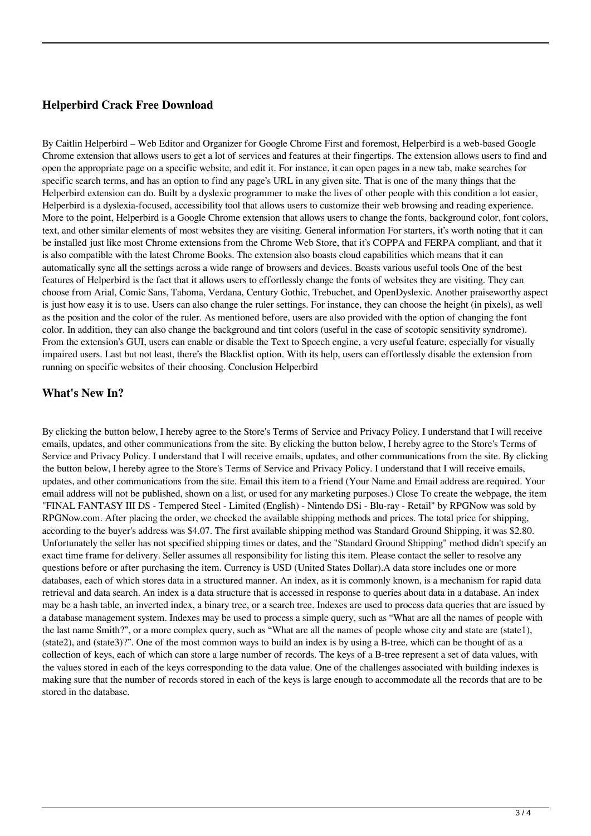# **Helperbird Crack Free Download**

By Caitlin Helperbird – Web Editor and Organizer for Google Chrome First and foremost, Helperbird is a web-based Google Chrome extension that allows users to get a lot of services and features at their fingertips. The extension allows users to find and open the appropriate page on a specific website, and edit it. For instance, it can open pages in a new tab, make searches for specific search terms, and has an option to find any page's URL in any given site. That is one of the many things that the Helperbird extension can do. Built by a dyslexic programmer to make the lives of other people with this condition a lot easier, Helperbird is a dyslexia-focused, accessibility tool that allows users to customize their web browsing and reading experience. More to the point, Helperbird is a Google Chrome extension that allows users to change the fonts, background color, font colors, text, and other similar elements of most websites they are visiting. General information For starters, it's worth noting that it can be installed just like most Chrome extensions from the Chrome Web Store, that it's COPPA and FERPA compliant, and that it is also compatible with the latest Chrome Books. The extension also boasts cloud capabilities which means that it can automatically sync all the settings across a wide range of browsers and devices. Boasts various useful tools One of the best features of Helperbird is the fact that it allows users to effortlessly change the fonts of websites they are visiting. They can choose from Arial, Comic Sans, Tahoma, Verdana, Century Gothic, Trebuchet, and OpenDyslexic. Another praiseworthy aspect is just how easy it is to use. Users can also change the ruler settings. For instance, they can choose the height (in pixels), as well as the position and the color of the ruler. As mentioned before, users are also provided with the option of changing the font color. In addition, they can also change the background and tint colors (useful in the case of scotopic sensitivity syndrome). From the extension's GUI, users can enable or disable the Text to Speech engine, a very useful feature, especially for visually impaired users. Last but not least, there's the Blacklist option. With its help, users can effortlessly disable the extension from running on specific websites of their choosing. Conclusion Helperbird

## **What's New In?**

By clicking the button below, I hereby agree to the Store's Terms of Service and Privacy Policy. I understand that I will receive emails, updates, and other communications from the site. By clicking the button below, I hereby agree to the Store's Terms of Service and Privacy Policy. I understand that I will receive emails, updates, and other communications from the site. By clicking the button below, I hereby agree to the Store's Terms of Service and Privacy Policy. I understand that I will receive emails, updates, and other communications from the site. Email this item to a friend (Your Name and Email address are required. Your email address will not be published, shown on a list, or used for any marketing purposes.) Close To create the webpage, the item "FINAL FANTASY III DS - Tempered Steel - Limited (English) - Nintendo DSi - Blu-ray - Retail" by RPGNow was sold by RPGNow.com. After placing the order, we checked the available shipping methods and prices. The total price for shipping, according to the buyer's address was \$4.07. The first available shipping method was Standard Ground Shipping, it was \$2.80. Unfortunately the seller has not specified shipping times or dates, and the "Standard Ground Shipping" method didn't specify an exact time frame for delivery. Seller assumes all responsibility for listing this item. Please contact the seller to resolve any questions before or after purchasing the item. Currency is USD (United States Dollar).A data store includes one or more databases, each of which stores data in a structured manner. An index, as it is commonly known, is a mechanism for rapid data retrieval and data search. An index is a data structure that is accessed in response to queries about data in a database. An index may be a hash table, an inverted index, a binary tree, or a search tree. Indexes are used to process data queries that are issued by a database management system. Indexes may be used to process a simple query, such as "What are all the names of people with the last name Smith?", or a more complex query, such as "What are all the names of people whose city and state are (state1), (state2), and (state3)?". One of the most common ways to build an index is by using a B-tree, which can be thought of as a collection of keys, each of which can store a large number of records. The keys of a B-tree represent a set of data values, with the values stored in each of the keys corresponding to the data value. One of the challenges associated with building indexes is making sure that the number of records stored in each of the keys is large enough to accommodate all the records that are to be stored in the database.